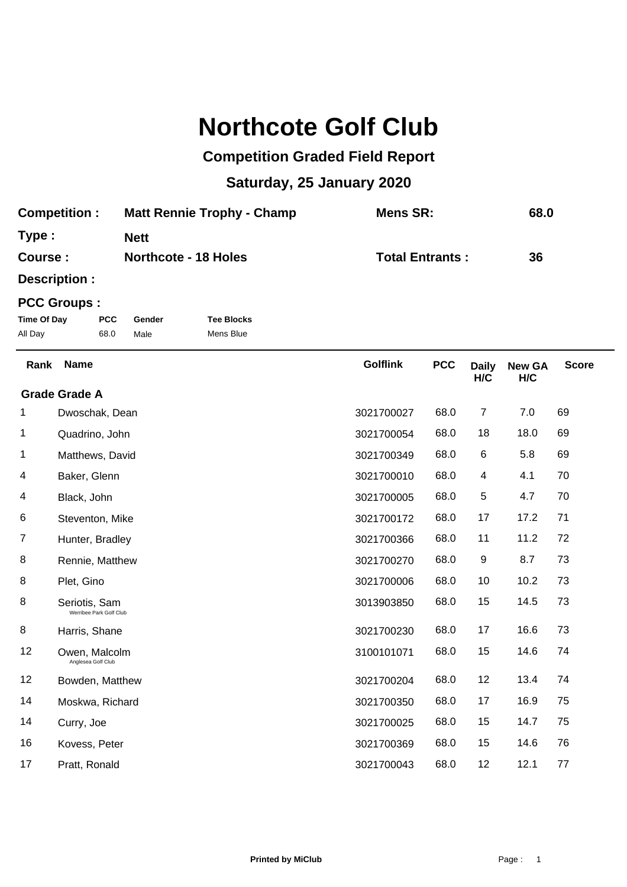## **Northcote Golf Club**

## **Competition Graded Field Report**

## **Saturday, 25 January 2020**

| <b>Matt Rennie Trophy - Champ</b> | Mens SR:               | 68.0 |
|-----------------------------------|------------------------|------|
| <b>Nett</b>                       |                        |      |
| <b>Northcote - 18 Holes</b>       | <b>Total Entrants:</b> | 36   |
|                                   |                        |      |

**Description :**

## **PCC Groups :**

| Time Of Day | <b>PCC</b> | Gender | <b>Tee Blocks</b> |
|-------------|------------|--------|-------------------|
| All Day     | 68.0       | Male   | Mens Blue         |

| Rank | <b>Name</b>                              | <b>Golflink</b> | <b>PCC</b> | <b>Daily</b><br>H/C | <b>New GA</b><br>H/C | <b>Score</b> |
|------|------------------------------------------|-----------------|------------|---------------------|----------------------|--------------|
|      | <b>Grade Grade A</b>                     |                 |            |                     |                      |              |
| 1    | Dwoschak, Dean                           | 3021700027      | 68.0       | 7                   | 7.0                  | 69           |
| 1    | Quadrino, John                           | 3021700054      | 68.0       | 18                  | 18.0                 | 69           |
| 1    | Matthews, David                          | 3021700349      | 68.0       | 6                   | 5.8                  | 69           |
| 4    | Baker, Glenn                             | 3021700010      | 68.0       | 4                   | 4.1                  | 70           |
| 4    | Black, John                              | 3021700005      | 68.0       | 5                   | 4.7                  | 70           |
| 6    | Steventon, Mike                          | 3021700172      | 68.0       | 17                  | 17.2                 | 71           |
| 7    | Hunter, Bradley                          | 3021700366      | 68.0       | 11                  | 11.2                 | 72           |
| 8    | Rennie, Matthew                          | 3021700270      | 68.0       | 9                   | 8.7                  | 73           |
| 8    | Plet, Gino                               | 3021700006      | 68.0       | 10                  | 10.2                 | 73           |
| 8    | Seriotis, Sam<br>Werribee Park Golf Club | 3013903850      | 68.0       | 15                  | 14.5                 | 73           |
| 8    | Harris, Shane                            | 3021700230      | 68.0       | 17                  | 16.6                 | 73           |
| 12   | Owen, Malcolm<br>Anglesea Golf Club      | 3100101071      | 68.0       | 15                  | 14.6                 | 74           |
| 12   | Bowden, Matthew                          | 3021700204      | 68.0       | 12                  | 13.4                 | 74           |
| 14   | Moskwa, Richard                          | 3021700350      | 68.0       | 17                  | 16.9                 | 75           |
| 14   | Curry, Joe                               | 3021700025      | 68.0       | 15                  | 14.7                 | 75           |
| 16   | Kovess, Peter                            | 3021700369      | 68.0       | 15                  | 14.6                 | 76           |
| 17   | Pratt, Ronald                            | 3021700043      | 68.0       | 12                  | 12.1                 | 77           |